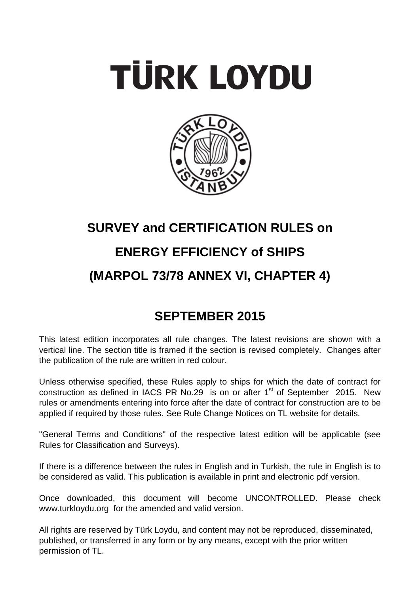# **TÜRK LOYDU**



## **SURVEY and CERTIFICATION RULES on ENERGY EFFICIENCY of SHIPS (MARPOL 73/78 ANNEX VI, CHAPTER 4)**

### **SEPTEMBER 2015**

This latest edition incorporates all rule changes. The latest revisions are shown with a vertical line. The section title is framed if the section is revised completely. Changes after the publication of the rule are written in red colour.

Unless otherwise specified, these Rules apply to ships for which the date of contract for construction as defined in IACS PR No.29 is on or after  $1<sup>st</sup>$  of September 2015. New rules or amendments entering into force after the date of contract for construction are to be applied if required by those rules. See Rule Change Notices on TL website for details.

"General Terms and Conditions" of the respective latest edition will be applicable (see Rules for Classification and Surveys).

If there is a difference between the rules in English and in Turkish, the rule in English is to be considered as valid. This publication is available in print and electronic pdf version.

Once downloaded, this document will become UNCONTROLLED. Please check www.turkloydu.org for the amended and valid version.

All rights are reserved by Türk Loydu, and content may not be reproduced, disseminated, published, or transferred in any form or by any means, except with the prior written permission of TL.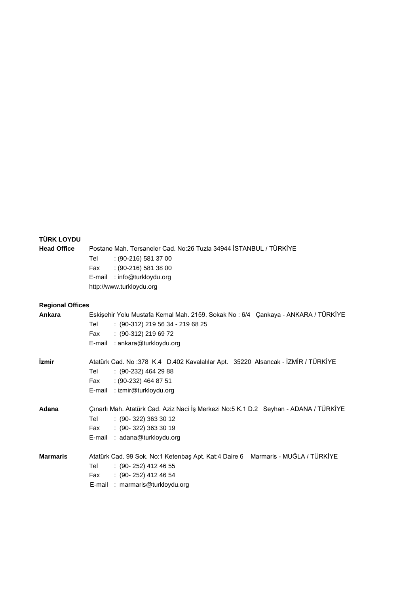#### **TÜRK LOYDU**

**Head Office** Postane Mah. Tersaneler Cad. No:26 Tuzla 34944 İSTANBUL / TÜRKİYE Tel : (90-216) 581 37 00 Fax : (90-216) 581 38 00 E-mail : info@turkloydu.org http://www.turkloydu.org

#### **Regional Offices**

| <b>Ankara</b>              | Eskişehir Yolu Mustafa Kemal Mah. 2159. Sokak No: 6/4 Çankaya - ANKARA / TÜRKİYE     |
|----------------------------|--------------------------------------------------------------------------------------|
|                            | $: (90-312)$ 219 56 34 - 219 68 25<br>Tel                                            |
|                            | $: (90-312) 219 69 72$<br>Fax                                                        |
|                            | E-mail : ankara@turkloydu.org                                                        |
| <i><u><b>izmir</b></u></i> | Atatürk Cad. No: 378 K.4 D.402 Kavalalılar Apt. 35220 Alsancak - İZMİR / TÜRKİYE     |
|                            | $(90-232)$ 464 29 88<br>Tel                                                          |
|                            | $(90-232)$ 464 87 51<br>Fax                                                          |
|                            | E-mail : izmir@turkloydu.org                                                         |
| Adana                      | Çınarlı Mah. Atatürk Cad. Aziz Naci İş Merkezi No:5 K.1 D.2 Seyhan - ADANA / TÜRKİYE |
|                            | $(90-322)$ 363 30 12<br>Tel                                                          |
|                            | $(90-322)$ 363 30 19<br>Fax                                                          |
|                            | E-mail: adana@turkloydu.org                                                          |
| <b>Marmaris</b>            | Atatürk Cad. 99 Sok. No:1 Ketenbaş Apt. Kat:4 Daire 6 Marmaris - MUĞLA / TÜRKİYE     |
|                            | $(90-252)$ 412 46 55<br>Tel                                                          |
|                            | $(90-252)$ 412 46 54<br>Fax                                                          |
|                            | E-mail: marmaris@turkloydu.org                                                       |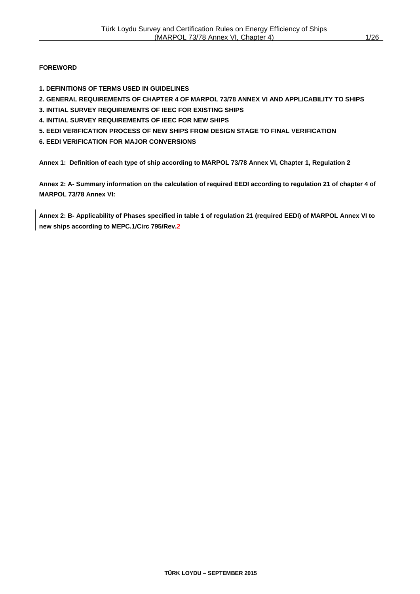#### **FOREWORD**

- **1. DEFINITIONS OF TERMS USED IN GUIDELINES**
- **2. GENERAL REQUIREMENTS OF CHAPTER 4 OF MARPOL 73/78 ANNEX VI AND APPLICABILITY TO SHIPS**
- **3. INITIAL SURVEY REQUIREMENTS OF IEEC FOR EXISTING SHIPS**
- **4. INITIAL SURVEY REQUIREMENTS OF IEEC FOR NEW SHIPS**
- **5. EEDI VERIFICATION PROCESS OF NEW SHIPS FROM DESIGN STAGE TO FINAL VERIFICATION**
- **6. EEDI VERIFICATION FOR MAJOR CONVERSIONS**

**Annex 1: Definition of each type of ship according to MARPOL 73/78 Annex VI, Chapter 1, Regulation 2**

**Annex 2: A- Summary information on the calculation of required EEDI according to regulation 21 of chapter 4 of MARPOL 73/78 Annex VI:**

**Annex 2: B- Applicability of Phases specified in table 1 of regulation 21 (required EEDI) of MARPOL Annex VI to new ships according to MEPC.1/Circ 795/Rev.2**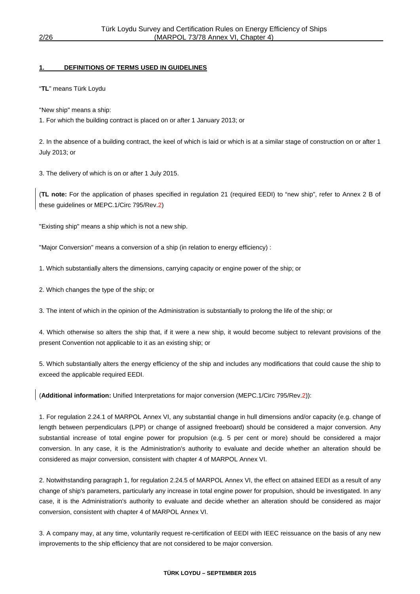#### **1. DEFINITIONS OF TERMS USED IN GUIDELINES**

"**TL**" means Türk Loydu

"New ship" means a ship:

1. For which the building contract is placed on or after 1 January 2013; or

2. In the absence of a building contract, the keel of which is laid or which is at a similar stage of construction on or after 1 July 2013; or

3. The delivery of which is on or after 1 July 2015.

(**TL note:** For the application of phases specified in regulation 21 (required EEDI) to "new ship", refer to Annex 2 B of these guidelines or MEPC.1/Circ 795/Rev.2)

"Existing ship" means a ship which is not a new ship.

"Major Conversion" means a conversion of a ship (in relation to energy efficiency) :

1. Which substantially alters the dimensions, carrying capacity or engine power of the ship; or

2. Which changes the type of the ship; or

3. The intent of which in the opinion of the Administration is substantially to prolong the life of the ship; or

4. Which otherwise so alters the ship that, if it were a new ship, it would become subject to relevant provisions of the present Convention not applicable to it as an existing ship; or

5. Which substantially alters the energy efficiency of the ship and includes any modifications that could cause the ship to exceed the applicable required EEDI.

(**Additional information:** Unified Interpretations for major conversion (MEPC.1/Circ 795/Rev.2)):

1. For regulation 2.24.1 of MARPOL Annex VI, any substantial change in hull dimensions and/or capacity (e.g. change of length between perpendiculars (LPP) or change of assigned freeboard) should be considered a major conversion. Any substantial increase of total engine power for propulsion (e.g. 5 per cent or more) should be considered a major conversion. In any case, it is the Administration's authority to evaluate and decide whether an alteration should be considered as major conversion, consistent with chapter 4 of MARPOL Annex VI.

2. Notwithstanding paragraph 1, for regulation 2.24.5 of MARPOL Annex VI, the effect on attained EEDI as a result of any change of ship's parameters, particularly any increase in total engine power for propulsion, should be investigated. In any case, it is the Administration's authority to evaluate and decide whether an alteration should be considered as major conversion, consistent with chapter 4 of MARPOL Annex VI.

3. A company may, at any time, voluntarily request re-certification of EEDI with IEEC reissuance on the basis of any new improvements to the ship efficiency that are not considered to be major conversion.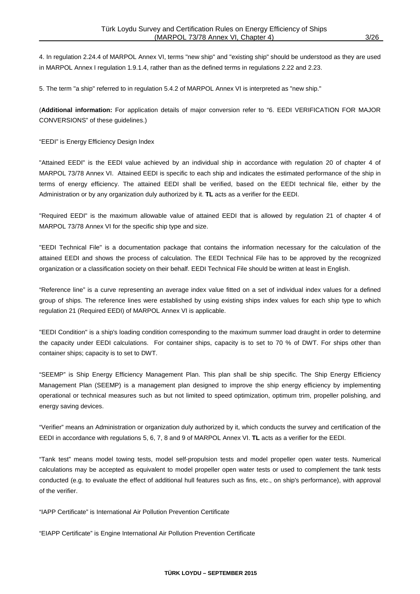4. In regulation 2.24.4 of MARPOL Annex VI, terms "new ship" and "existing ship" should be understood as they are used in MARPOL Annex I regulation 1.9.1.4, rather than as the defined terms in regulations 2.22 and 2.23.

5. The term "a ship" referred to in regulation 5.4.2 of MARPOL Annex VI is interpreted as "new ship."

(**Additional information:** For application details of major conversion refer to "6. EEDI VERIFICATION FOR MAJOR CONVERSIONS" of these guidelines.)

"EEDI" is Energy Efficiency Design Index

"Attained EEDI" is the EEDI value achieved by an individual ship in accordance with regulation 20 of chapter 4 of MARPOL 73/78 Annex VI. Attained EEDI is specific to each ship and indicates the estimated performance of the ship in terms of energy efficiency. The attained EEDI shall be verified, based on the EEDI technical file, either by the Administration or by any organization duly authorized by it. **TL** acts as a verifier for the EEDI.

"Required EEDI" is the maximum allowable value of attained EEDI that is allowed by regulation 21 of chapter 4 of MARPOL 73/78 Annex VI for the specific ship type and size.

"EEDI Technical File" is a documentation package that contains the information necessary for the calculation of the attained EEDI and shows the process of calculation. The EEDI Technical File has to be approved by the recognized organization or a classification society on their behalf. EEDI Technical File should be written at least in English.

"Reference line" is a curve representing an average index value fitted on a set of individual index values for a defined group of ships. The reference lines were established by using existing ships index values for each ship type to which regulation 21 (Required EEDI) of MARPOL Annex VI is applicable.

"EEDI Condition" is a ship's loading condition corresponding to the maximum summer load draught in order to determine the capacity under EEDI calculations. For container ships, capacity is to set to 70 % of DWT. For ships other than container ships; capacity is to set to DWT.

"SEEMP" is Ship Energy Efficiency Management Plan. This plan shall be ship specific. The Ship Energy Efficiency Management Plan (SEEMP) is a management plan designed to improve the ship energy efficiency by implementing operational or technical measures such as but not limited to speed optimization, optimum trim, propeller polishing, and energy saving devices.

"Verifier" means an Administration or organization duly authorized by it, which conducts the survey and certification of the EEDI in accordance with regulations 5, 6, 7, 8 and 9 of MARPOL Annex VI. **TL** acts as a verifier for the EEDI.

"Tank test" means model towing tests, model self-propulsion tests and model propeller open water tests. Numerical calculations may be accepted as equivalent to model propeller open water tests or used to complement the tank tests conducted (e.g. to evaluate the effect of additional hull features such as fins, etc., on ship's performance), with approval of the verifier.

"IAPP Certificate" is International Air Pollution Prevention Certificate

"EIAPP Certificate" is Engine International Air Pollution Prevention Certificate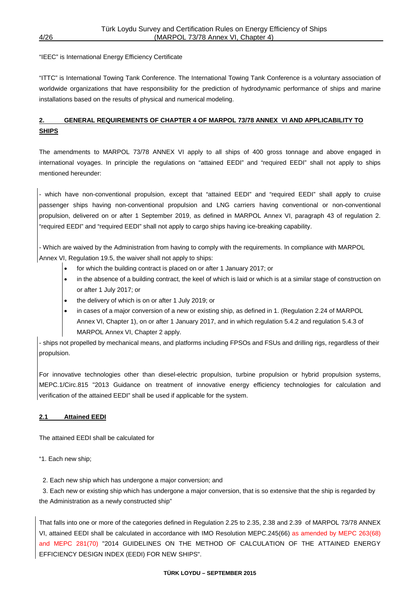#### "IEEC" is International Energy Efficiency Certificate

"ITTC" is International Towing Tank Conference. The International Towing Tank Conference is a voluntary association of worldwide organizations that have responsibility for the prediction of hydrodynamic performance of ships and marine installations based on the results of physical and numerical modeling.

#### **2. GENERAL REQUIREMENTS OF CHAPTER 4 OF MARPOL 73/78 ANNEX VI AND APPLICABILITY TO SHIPS**

The amendments to MARPOL 73/78 ANNEX VI apply to all ships of 400 gross tonnage and above engaged in international voyages. In principle the regulations on "attained EEDI" and "required EEDI" shall not apply to ships mentioned hereunder:

- which have non-conventional propulsion, except that "attained EEDI" and "required EEDI" shall apply to cruise passenger ships having non-conventional propulsion and LNG carriers having conventional or non-conventional propulsion, delivered on or after 1 September 2019, as defined in MARPOL Annex VI, paragraph 43 of regulation 2. "required EEDI" and "required EEDI" shall not apply to cargo ships having ice-breaking capability.

- Which are waived by the Administration from having to comply with the requirements. In compliance with MARPOL Annex VI, Regulation 19.5, the waiver shall not apply to ships:

- for which the building contract is placed on or after 1 January 2017; or
- in the absence of a building contract, the keel of which is laid or which is at a similar stage of construction on or after 1 July 2017; or
- the delivery of which is on or after 1 July 2019; or
- in cases of a major conversion of a new or existing ship, as defined in 1. (Regulation 2.24 of MARPOL Annex VI, Chapter 1), on or after 1 January 2017, and in which regulation 5.4.2 and regulation 5.4.3 of MARPOL Annex VI, Chapter 2 apply.

- ships not propelled by mechanical means, and platforms including FPSOs and FSUs and drilling rigs, regardless of their propulsion.

For innovative technologies other than diesel-electric propulsion, turbine propulsion or hybrid propulsion systems, MEPC.1/Circ.815 "2013 Guidance on treatment of innovative energy efficiency technologies for calculation and verification of the attained EEDI" shall be used if applicable for the system.

#### **2.1 Attained EEDI**

The attained EEDI shall be calculated for

"1. Each new ship;

2. Each new ship which has undergone a major conversion; and

 3. Each new or existing ship which has undergone a major conversion, that is so extensive that the ship is regarded by the Administration as a newly constructed ship"

That falls into one or more of the categories defined in Regulation 2.25 to 2.35, 2.38 and 2.39 of MARPOL 73/78 ANNEX VI, attained EEDI shall be calculated in accordance with IMO Resolution MEPC.245(66) as amended by MEPC 263(68) and MEPC 281(70) "2014 GUIDELINES ON THE METHOD OF CALCULATION OF THE ATTAINED ENERGY EFFICIENCY DESIGN INDEX (EEDI) FOR NEW SHIPS".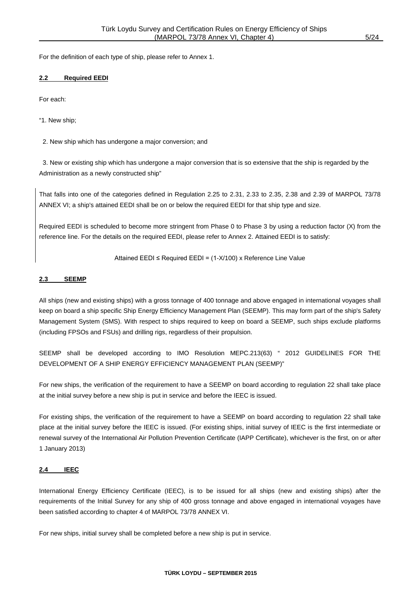For the definition of each type of ship, please refer to Annex 1.

#### **2.2 Required EEDI**

For each:

"1. New ship;

2. New ship which has undergone a major conversion; and

 3. New or existing ship which has undergone a major conversion that is so extensive that the ship is regarded by the Administration as a newly constructed ship"

That falls into one of the categories defined in Regulation 2.25 to 2.31, 2.33 to 2.35, 2.38 and 2.39 of MARPOL 73/78 ANNEX VI; a ship's attained EEDI shall be on or below the required EEDI for that ship type and size.

Required EEDI is scheduled to become more stringent from Phase 0 to Phase 3 by using a reduction factor (X) from the reference line. For the details on the required EEDI, please refer to Annex 2. Attained EEDI is to satisfy:

Attained EEDI ≤ Required EEDI = (1-X/100) x Reference Line Value

#### **2.3 SEEMP**

All ships (new and existing ships) with a gross tonnage of 400 tonnage and above engaged in international voyages shall keep on board a ship specific Ship Energy Efficiency Management Plan (SEEMP). This may form part of the ship's Safety Management System (SMS). With respect to ships required to keep on board a SEEMP, such ships exclude platforms (including FPSOs and FSUs) and drilling rigs, regardless of their propulsion.

SEEMP shall be developed according to IMO Resolution MEPC.213(63) " 2012 GUIDELINES FOR THE DEVELOPMENT OF A SHIP ENERGY EFFICIENCY MANAGEMENT PLAN (SEEMP)"

For new ships, the verification of the requirement to have a SEEMP on board according to regulation 22 shall take place at the initial survey before a new ship is put in service and before the IEEC is issued.

For existing ships, the verification of the requirement to have a SEEMP on board according to regulation 22 shall take place at the initial survey before the IEEC is issued. (For existing ships, initial survey of IEEC is the first intermediate or renewal survey of the International Air Pollution Prevention Certificate (IAPP Certificate), whichever is the first, on or after 1 January 2013)

#### **2.4 IEEC**

International Energy Efficiency Certificate (IEEC), is to be issued for all ships (new and existing ships) after the requirements of the Initial Survey for any ship of 400 gross tonnage and above engaged in international voyages have been satisfied according to chapter 4 of MARPOL 73/78 ANNEX VI.

For new ships, initial survey shall be completed before a new ship is put in service.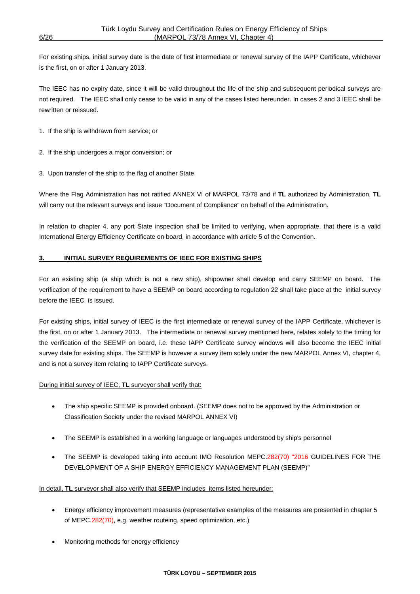For existing ships, initial survey date is the date of first intermediate or renewal survey of the IAPP Certificate, whichever is the first, on or after 1 January 2013.

The IEEC has no expiry date, since it will be valid throughout the life of the ship and subsequent periodical surveys are not required. The IEEC shall only cease to be valid in any of the cases listed hereunder. In cases 2 and 3 IEEC shall be rewritten or reissued.

- 1. If the ship is withdrawn from service; or
- 2. If the ship undergoes a major conversion; or
- 3. Upon transfer of the ship to the flag of another State

Where the Flag Administration has not ratified ANNEX VI of MARPOL 73/78 and if **TL** authorized by Administration, **TL** will carry out the relevant surveys and issue "Document of Compliance" on behalf of the Administration.

In relation to chapter 4, any port State inspection shall be limited to verifying, when appropriate, that there is a valid International Energy Efficiency Certificate on board, in accordance with article 5 of the Convention.

#### **3. INITIAL SURVEY REQUIREMENTS OF IEEC FOR EXISTING SHIPS**

For an existing ship (a ship which is not a new ship), shipowner shall develop and carry SEEMP on board. The verification of the requirement to have a SEEMP on board according to regulation 22 shall take place at the initial survey before the IEEC is issued.

For existing ships, initial survey of IEEC is the first intermediate or renewal survey of the IAPP Certificate, whichever is the first, on or after 1 January 2013. The intermediate or renewal survey mentioned here, relates solely to the timing for the verification of the SEEMP on board, i.e. these IAPP Certificate survey windows will also become the IEEC initial survey date for existing ships. The SEEMP is however a survey item solely under the new MARPOL Annex VI, chapter 4, and is not a survey item relating to IAPP Certificate surveys.

During initial survey of IEEC, **TL** surveyor shall verify that:

- The ship specific SEEMP is provided onboard. (SEEMP does not to be approved by the Administration or Classification Society under the revised MARPOL ANNEX VI)
- The SEEMP is established in a working language or languages understood by ship's personnel
- The SEEMP is developed taking into account IMO Resolution MEPC.282(70) "2016 GUIDELINES FOR THE DEVELOPMENT OF A SHIP ENERGY EFFICIENCY MANAGEMENT PLAN (SEEMP)"

In detail, **TL** surveyor shall also verify that SEEMP includes items listed hereunder:

- Energy efficiency improvement measures (representative examples of the measures are presented in chapter 5 of MEPC.282(70), e.g. weather routeing, speed optimization, etc.)
- Monitoring methods for energy efficiency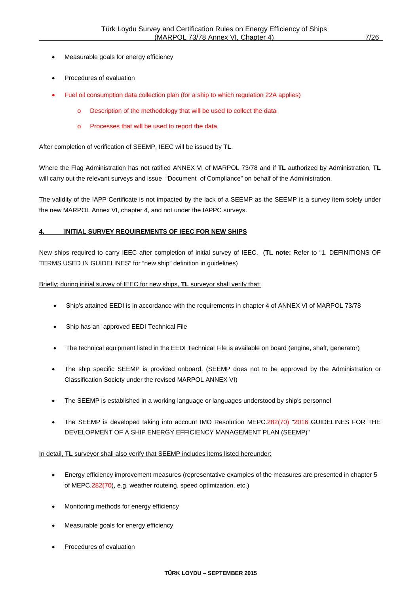- Measurable goals for energy efficiency
- Procedures of evaluation
- Fuel oil consumption data collection plan (for a ship to which regulation 22A applies)
	- o Description of the methodology that will be used to collect the data
	- o Processes that will be used to report the data

After completion of verification of SEEMP, IEEC will be issued by **TL**.

Where the Flag Administration has not ratified ANNEX VI of MARPOL 73/78 and if **TL** authorized by Administration, **TL** will carry out the relevant surveys and issue "Document of Compliance" on behalf of the Administration.

The validity of the IAPP Certificate is not impacted by the lack of a SEEMP as the SEEMP is a survey item solely under the new MARPOL Annex VI, chapter 4, and not under the IAPPC surveys.

#### **4. INITIAL SURVEY REQUIREMENTS OF IEEC FOR NEW SHIPS**

New ships required to carry IEEC after completion of initial survey of IEEC. (**TL note:** Refer to "1. DEFINITIONS OF TERMS USED IN GUIDELINES" for "new ship" definition in guidelines)

Briefly; during initial survey of IEEC for new ships, **TL** surveyor shall verify that:

- Ship's attained EEDI is in accordance with the requirements in chapter 4 of ANNEX VI of MARPOL 73/78
- Ship has an approved EEDI Technical File
- The technical equipment listed in the EEDI Technical File is available on board (engine, shaft, generator)
- The ship specific SEEMP is provided onboard. (SEEMP does not to be approved by the Administration or Classification Society under the revised MARPOL ANNEX VI)
- The SEEMP is established in a working language or languages understood by ship's personnel
- The SEEMP is developed taking into account IMO Resolution MEPC.282(70) "2016 GUIDELINES FOR THE DEVELOPMENT OF A SHIP ENERGY EFFICIENCY MANAGEMENT PLAN (SEEMP)"

In detail, **TL** surveyor shall also verify that SEEMP includes items listed hereunder:

- Energy efficiency improvement measures (representative examples of the measures are presented in chapter 5 of MEPC.282(70), e.g. weather routeing, speed optimization, etc.)
- Monitoring methods for energy efficiency
- Measurable goals for energy efficiency
- Procedures of evaluation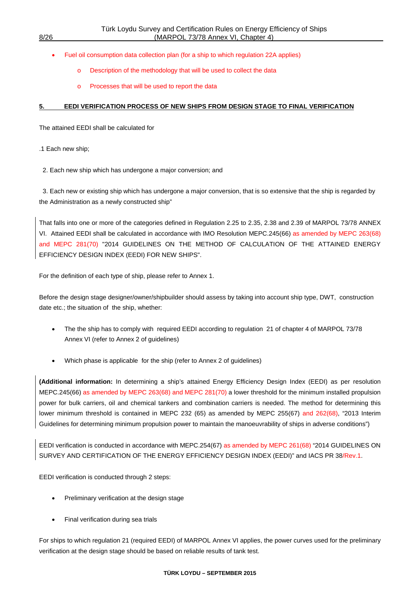- Fuel oil consumption data collection plan (for a ship to which regulation 22A applies)
	- Description of the methodology that will be used to collect the data
	- o Processes that will be used to report the data

#### **5. EEDI VERIFICATION PROCESS OF NEW SHIPS FROM DESIGN STAGE TO FINAL VERIFICATION**

The attained EEDI shall be calculated for

- .1 Each new ship;
- 2. Each new ship which has undergone a major conversion; and

 3. Each new or existing ship which has undergone a major conversion, that is so extensive that the ship is regarded by the Administration as a newly constructed ship"

That falls into one or more of the categories defined in Regulation 2.25 to 2.35, 2.38 and 2.39 of MARPOL 73/78 ANNEX VI. Attained EEDI shall be calculated in accordance with IMO Resolution MEPC.245(66) as amended by MEPC 263(68) and MEPC 281(70) "2014 GUIDELINES ON THE METHOD OF CALCULATION OF THE ATTAINED ENERGY EFFICIENCY DESIGN INDEX (EEDI) FOR NEW SHIPS".

For the definition of each type of ship, please refer to Annex 1.

Before the design stage designer/owner/shipbuilder should assess by taking into account ship type, DWT, construction date etc.; the situation of the ship, whether:

- The the ship has to comply with required EEDI according to requlation 21 of chapter 4 of MARPOL 73/78 Annex VI (refer to Annex 2 of guidelines)
- Which phase is applicable for the ship (refer to Annex 2 of guidelines)

**(Additional information:** In determining a ship's attained Energy Efficiency Design Index (EEDI) as per resolution MEPC.245(66) as amended by MEPC 263(68) and MEPC 281(70) a lower threshold for the minimum installed propulsion power for bulk carriers, oil and chemical tankers and combination carriers is needed. The method for determining this lower minimum threshold is contained in MEPC 232 (65) as amended by MEPC 255(67) and 262(68), "2013 Interim Guidelines for determining minimum propulsion power to maintain the manoeuvrability of ships in adverse conditions")

EEDI verification is conducted in accordance with MEPC.254(67) as amended by MEPC 261(68) "2014 GUIDELINES ON SURVEY AND CERTIFICATION OF THE ENERGY EFFICIENCY DESIGN INDEX (EEDI)" and IACS PR 38/Rev.1.

EEDI verification is conducted through 2 steps:

- Preliminary verification at the design stage
- Final verification during sea trials

For ships to which regulation 21 (required EEDI) of MARPOL Annex VI applies, the power curves used for the preliminary verification at the design stage should be based on reliable results of tank test.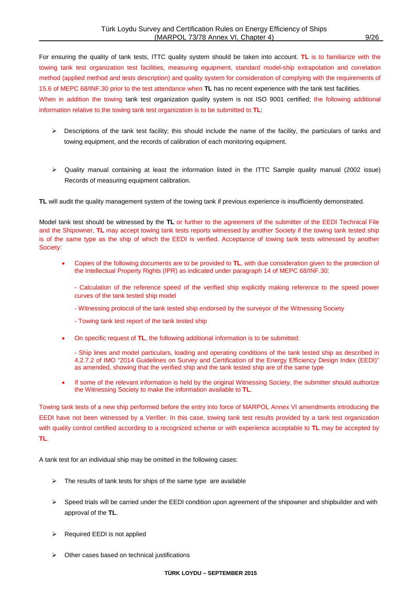For ensuring the quality of tank tests, ITTC quality system should be taken into account. **TL** is to familiarize with the towing tank test organization test facilities, measuring equipment, standard model-ship extrapolation and correlation method (applied method and tests description) and quality system for consideration of complying with the requirements of 15.6 of MEPC 68/INF.30 prior to the test attendance when **TL** has no recent experience with the tank test facilities. When in addition the towing tank test organization quality system is not ISO 9001 certified; the following additional information relative to the towing tank test organization is to be submitted to **TL**:

- $\triangleright$  Descriptions of the tank test facility; this should include the name of the facility, the particulars of tanks and towing equipment, and the records of calibration of each monitoring equipment.
- Quality manual containing at least the information listed in the ITTC Sample quality manual (2002 issue) Records of measuring equipment calibration.

**TL** will audit the quality management system of the towing tank if previous experience is insufficiently demonstrated.

Model tank test should be witnessed by the **TL** or further to the agreement of the submitter of the EEDI Technical File and the Shipowner, **TL** may accept towing tank tests reports witnessed by another Society if the towing tank tested ship is of the same type as the ship of which the EEDI is verified. Acceptance of towing tank tests witnessed by another Society:

• Copies of the following documents are to be provided to **TL**, with due consideration given to the protection of the Intellectual Property Rights (IPR) as indicated under paragraph 14 of MEPC 68/INF.30:

- Calculation of the reference speed of the verified ship explicitly making reference to the speed power curves of the tank tested ship model

- Witnessing protocol of the tank tested ship endorsed by the surveyor of the Witnessing Society
- Towing tank test report of the tank tested ship
- On specific request of **TL**, the following additional information is to be submitted:

- Ship lines and model particulars, loading and operating conditions of the tank tested ship as described in 4.2.7.2 of IMO "2014 Guidelines on Survey and Certification of the Energy Efficiency Design Index (EEDI)" as amended, showing that the verified ship and the tank tested ship are of the same type

If some of the relevant information is held by the original Witnessing Society, the submitter should authorize the Witnessing Society to make the information available to **TL**.

Towing tank tests of a new ship performed before the entry into force of MARPOL Annex VI amendments introducing the EEDI have not been witnessed by a Verifier. In this case, towing tank test results provided by a tank test organization with quality control certified according to a recognized scheme or with experience acceptable to **TL** may be accepted by **TL**.

A tank test for an individual ship may be omitted in the following cases:

- $\triangleright$  The results of tank tests for ships of the same type are available
- $\triangleright$  Speed trials will be carried under the EEDI condition upon agreement of the shipowner and shipbuilder and with approval of the **TL**.
- Required EEDI is not applied
- $\triangleright$  Other cases based on technical justifications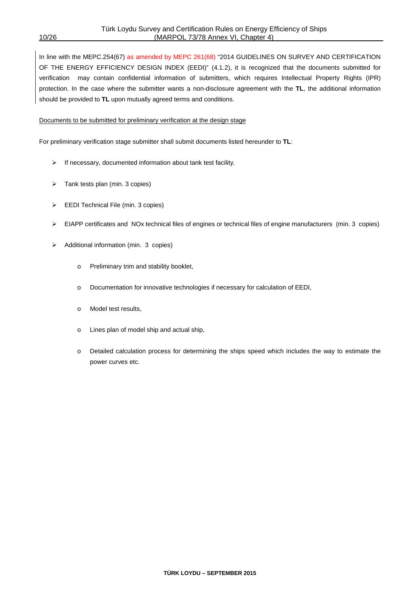In line with the MEPC.254(67) as amended by MEPC 261(68) "2014 GUIDELINES ON SURVEY AND CERTIFICATION OF THE ENERGY EFFICIENCY DESIGN INDEX (EEDI)" (4.1.2), it is recognized that the documents submitted for verification may contain confidential information of submitters, which requires Intellectual Property Rights (IPR) protection. In the case where the submitter wants a non-disclosure agreement with the **TL**, the additional information should be provided to **TL** upon mutually agreed terms and conditions.

#### Documents to be submitted for preliminary verification at the design stage

For preliminary verification stage submitter shall submit documents listed hereunder to **TL**:

- $\triangleright$  If necessary, documented information about tank test facility.
- $\triangleright$  Tank tests plan (min. 3 copies)
- EEDI Technical File (min. 3 copies)
- $\triangleright$  EIAPP certificates and NOx technical files of engines or technical files of engine manufacturers (min. 3 copies)
- > Additional information (min. 3 copies)
	- o Preliminary trim and stability booklet,
	- o Documentation for innovative technologies if necessary for calculation of EEDI,
	- o Model test results,
	- o Lines plan of model ship and actual ship,
	- o Detailed calculation process for determining the ships speed which includes the way to estimate the power curves etc.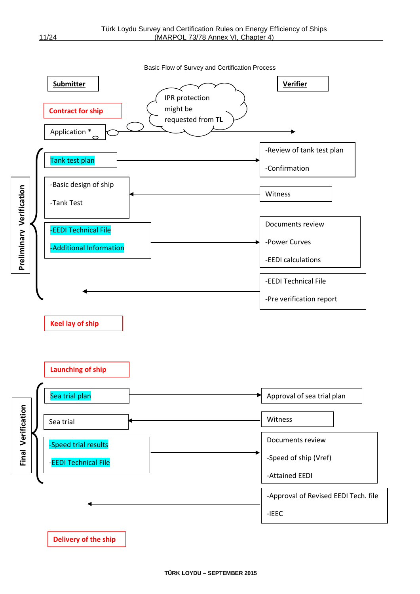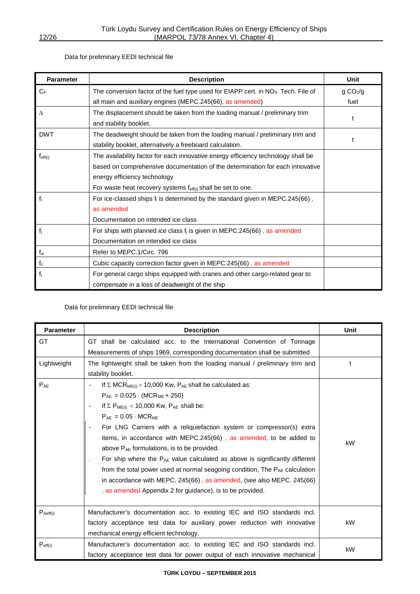#### Data for preliminary EEDI technical file

| <b>Parameter</b>    | <b>Description</b>                                                                 | Unit                 |  |  |  |  |  |
|---------------------|------------------------------------------------------------------------------------|----------------------|--|--|--|--|--|
| $C_F$               | The conversion factor of the fuel type used for EIAPP cert. in $NOx$ Tech. File of | g CO <sub>2</sub> /g |  |  |  |  |  |
|                     | all main and auxiliary engines (MEPC.245(66), as amended)                          |                      |  |  |  |  |  |
| $\Delta$            | The displacement should be taken from the loading manual / preliminary trim        |                      |  |  |  |  |  |
|                     | and stability booklet.                                                             | t                    |  |  |  |  |  |
| <b>DWT</b>          | The deadweight should be taken from the loading manual / preliminary trim and      |                      |  |  |  |  |  |
|                     | stability booklet, alternatively a freeboard calculation.                          |                      |  |  |  |  |  |
| $f_{\text{eff}(i)}$ | The availability factor for each innovative energy efficiency technology shall be  |                      |  |  |  |  |  |
|                     | based on comprehensive documentation of the determination for each innovative      |                      |  |  |  |  |  |
|                     | energy efficiency technology                                                       |                      |  |  |  |  |  |
|                     | For waste heat recovery systems $f_{\text{eff}(i)}$ shall be set to one.           |                      |  |  |  |  |  |
| $f_i$               | For ice-classed ships $f_i$ is determined by the standard given in MEPC.245(66),   |                      |  |  |  |  |  |
|                     | as amended                                                                         |                      |  |  |  |  |  |
|                     | Documentation on intended ice class                                                |                      |  |  |  |  |  |
| $f_j$               | For ships with planned ice class $f_i$ is given in MEPC.245(66), as amended        |                      |  |  |  |  |  |
|                     | Documentation on intended ice class                                                |                      |  |  |  |  |  |
| $f_w$               | Refer to MEPC.1/Circ. 796                                                          |                      |  |  |  |  |  |
| $f_c$               | Cubic capacity correction factor given in MEPC.245(66), as amended                 |                      |  |  |  |  |  |
| f <sub>1</sub>      | For general cargo ships equipped with cranes and other cargo-related gear to       |                      |  |  |  |  |  |
|                     | compensate in a loss of deadweight of the ship                                     |                      |  |  |  |  |  |

#### Data for preliminary EEDI technical file

| <b>Parameter</b>     | <b>Description</b>                                                                                                                                                                                                                                                                                                                                                                                                                                                                                                                                                                                                                                                                                                                                     | Unit |
|----------------------|--------------------------------------------------------------------------------------------------------------------------------------------------------------------------------------------------------------------------------------------------------------------------------------------------------------------------------------------------------------------------------------------------------------------------------------------------------------------------------------------------------------------------------------------------------------------------------------------------------------------------------------------------------------------------------------------------------------------------------------------------------|------|
| GT                   | GT shall be calculated acc. to the International Convention of Tonnage<br>Measurements of ships 1969, corresponding documentation shall be submitted                                                                                                                                                                                                                                                                                                                                                                                                                                                                                                                                                                                                   |      |
| Lightweight          | The lightweight shall be taken from the loading manual / preliminary trim and<br>stability booklet.                                                                                                                                                                                                                                                                                                                                                                                                                                                                                                                                                                                                                                                    | t    |
| $P_{AE}$             | If $\Sigma$ MCR <sub>ME(i)</sub> > 10,000 Kw, P <sub>AE</sub> shall be calculated as:<br>$P_{AE} = 0.025 \cdot (MCR_{ME} + 250)$<br>If $\Sigma$ P <sub>ME(i)</sub> < 10,000 Kw, P <sub>AE</sub> shall be:<br>$P_{AF} = 0.05 \cdot MCR_{MF}$<br>For LNG Carriers with a reliquiefaction system or compressor(s) extra<br>items, in accordance with MEPC.245(66), as amended, to be added to<br>above $P_{AE}$ formulations, is to be provided.<br>For ship where the $P_{AE}$ value calculated as above is significantly different<br>from the total power used at normal seagoing condition, The PAE calculation<br>in accordance with MEPC. 245(66), as amended, (see also MEPC. 245(66)<br>, as amended Appendix 2 for guidance), is to be provided. | kW   |
| $P_{\text{Aeff}(i)}$ | Manufacturer's documentation acc. to existing IEC and ISO standards incl.<br>factory acceptance test data for auxiliary power reduction with innovative<br>mechanical energy efficient technology.                                                                                                                                                                                                                                                                                                                                                                                                                                                                                                                                                     | kW   |
| $P_{\text{eff}(i)}$  | Manufacturer's documentation acc. to existing IEC and ISO standards incl.<br>factory acceptance test data for power output of each innovative mechanical                                                                                                                                                                                                                                                                                                                                                                                                                                                                                                                                                                                               | kW   |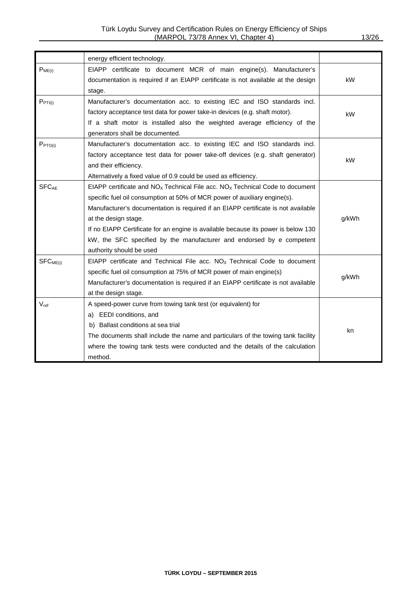|                         | energy efficient technology.                                                                                                                                                                                                                                                                                                                                                                                                                                         |       |
|-------------------------|----------------------------------------------------------------------------------------------------------------------------------------------------------------------------------------------------------------------------------------------------------------------------------------------------------------------------------------------------------------------------------------------------------------------------------------------------------------------|-------|
| $P_{ME(i)}$             | EIAPP certificate to document MCR of main engine(s). Manufacturer's<br>documentation is required if an EIAPP certificate is not available at the design<br>stage.                                                                                                                                                                                                                                                                                                    | kW    |
| $P_{PTI(i)}$            | Manufacturer's documentation acc. to existing IEC and ISO standards incl.<br>factory acceptance test data for power take-in devices (e.g. shaft motor).<br>If a shaft motor is installed also the weighted average efficiency of the<br>generators shall be documented.                                                                                                                                                                                              | kW    |
| P <sub>PTO(i)</sub>     | Manufacturer's documentation acc. to existing IEC and ISO standards incl.<br>factory acceptance test data for power take-off devices (e.g. shaft generator)<br>and their efficiency.<br>Alternatively a fixed value of 0.9 could be used as efficiency.                                                                                                                                                                                                              | kW    |
| <b>SFC<sub>AF</sub></b> | EIAPP certificate and $NOX$ Technical File acc. $NOX$ Technical Code to document<br>specific fuel oil consumption at 50% of MCR power of auxiliary engine(s).<br>Manufacturer's documentation is required if an EIAPP certificate is not available<br>at the design stage.<br>If no EIAPP Certificate for an engine is available because its power is below 130<br>kW, the SFC specified by the manufacturer and endorsed by e competent<br>authority should be used | g/kWh |
| SFC <sub>ME(i)</sub>    | EIAPP certificate and Technical File acc. $NOx$ Technical Code to document<br>specific fuel oil consumption at 75% of MCR power of main engine(s)<br>Manufacturer's documentation is required if an EIAPP certificate is not available<br>at the design stage.                                                                                                                                                                                                       | g/kWh |
| $V_{ref}$               | A speed-power curve from towing tank test (or equivalent) for<br>a) EEDI conditions, and<br>b) Ballast conditions at sea trial<br>The documents shall include the name and particulars of the towing tank facility<br>where the towing tank tests were conducted and the details of the calculation<br>method.                                                                                                                                                       | kn    |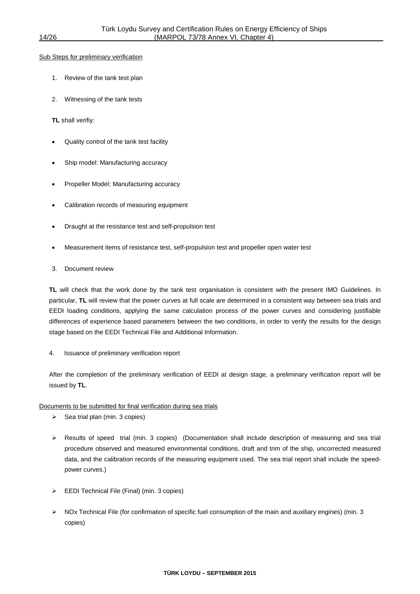#### Sub Steps for preliminary verification

- 1. Review of the tank test plan
- 2. Witnessing of the tank tests
- **TL** shall verifiy:
- Quality control of the tank test facility
- Ship model: Manufacturing accuracy
- Propeller Model: Manufacturing accuracy
- Calibration records of measuring equipment
- Draught at the resistance test and self-propulsion test
- Measurement items of resistance test, self-propulsion test and propeller open water test
- 3. Document review

**TL** will check that the work done by the tank test organisation is consistent with the present IMO Guidelines. In particular, **TL** will review that the power curves at full scale are determined in a consistent way between sea trials and EEDI loading conditions, applying the same calculation process of the power curves and considering justifiable differences of experience based parameters between the two conditions, in order to verify the results for the design stage based on the EEDI Technical File and Additional Information.

4. Issuance of preliminary verification report

After the completion of the preliminary verification of EEDI at design stage, a preliminary verification report will be issued by **TL**.

#### Documents to be submitted for final verification during sea trials

- $\triangleright$  Sea trial plan (min. 3 copies)
- Results of speed trial (min. 3 copies) (Documentation shall include description of measuring and sea trial procedure observed and measured environmental conditions, draft and trim of the ship, uncorrected measured data, and the calibration records of the measuring equipment used. The sea trial report shall include the speedpower curves.)
- EEDI Technical File (Final) (min. 3 copies)
- $\triangleright$  NOx Technical File (for confirmation of specific fuel consumption of the main and auxiliary engines) (min. 3 copies)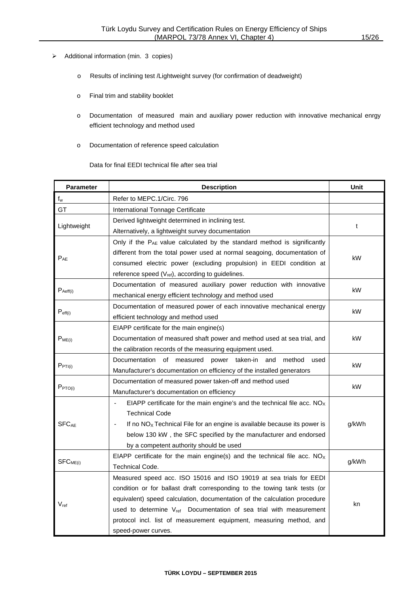- > Additional information (min. 3 copies)
	- o Results of inclining test /Lightweight survey (for confirmation of deadweight)
	- o Final trim and stability booklet
	- o Documentation of measured main and auxiliary power reduction with innovative mechanical enrgy efficient technology and method used
	- o Documentation of reference speed calculation

Data for final EEDI technical file after sea trial

| <b>Parameter</b>        | <b>Description</b>                                                             | Unit  |  |  |
|-------------------------|--------------------------------------------------------------------------------|-------|--|--|
| $f_w$                   | Refer to MEPC.1/Circ. 796                                                      |       |  |  |
| GT                      | International Tonnage Certificate                                              |       |  |  |
|                         | Derived lightweight determined in inclining test.                              |       |  |  |
| Lightweight             | Alternatively, a lightweight survey documentation                              | t     |  |  |
|                         | Only if the PAE value calculated by the standard method is significantly       |       |  |  |
| $P_{AE}$                | different from the total power used at normal seagoing, documentation of       | kW    |  |  |
|                         | consumed electric power (excluding propulsion) in EEDI condition at            |       |  |  |
|                         | reference speed (V <sub>ref</sub> ), according to guidelines.                  |       |  |  |
| $P_{\text{Aeff}(i)}$    | Documentation of measured auxiliary power reduction with innovative            | kW    |  |  |
|                         | mechanical energy efficient technology and method used                         |       |  |  |
| $P_{\text{eff}(i)}$     | Documentation of measured power of each innovative mechanical energy           | kW    |  |  |
|                         | efficient technology and method used                                           |       |  |  |
|                         | EIAPP certificate for the main engine(s)                                       |       |  |  |
| $P_{ME(i)}$             | Documentation of measured shaft power and method used at sea trial, and        | kW    |  |  |
|                         | the calibration records of the measuring equipment used.                       |       |  |  |
| PPTI(i)                 | Documentation of measured<br>power taken-in and method<br>used                 | kW    |  |  |
|                         | Manufacturer's documentation on efficiency of the installed generators         |       |  |  |
| P <sub>PTO(i)</sub>     | Documentation of measured power taken-off and method used                      | kW    |  |  |
|                         | Manufacturer's documentation on efficiency                                     |       |  |  |
|                         | EIAPP certificate for the main engine's and the technical file acc. $NOx$      |       |  |  |
|                         | Technical Code                                                                 |       |  |  |
| <b>SFC<sub>AE</sub></b> | If no $NOx$ Technical File for an engine is available because its power is     | g/kWh |  |  |
|                         | below 130 kW, the SFC specified by the manufacturer and endorsed               |       |  |  |
|                         | by a competent authority should be used                                        |       |  |  |
| SFC <sub>ME(i)</sub>    | EIAPP certificate for the main engine(s) and the technical file acc. $NOX$     | g/kWh |  |  |
|                         | <b>Technical Code.</b>                                                         |       |  |  |
| $V_{\text{ref}}$        | Measured speed acc. ISO 15016 and ISO 19019 at sea trials for EEDI             |       |  |  |
|                         | condition or for ballast draft corresponding to the towing tank tests (or      |       |  |  |
|                         | equivalent) speed calculation, documentation of the calculation procedure      | kn    |  |  |
|                         | used to determine V <sub>ref</sub> Documentation of sea trial with measurement |       |  |  |
|                         | protocol incl. list of measurement equipment, measuring method, and            |       |  |  |
|                         | speed-power curves.                                                            |       |  |  |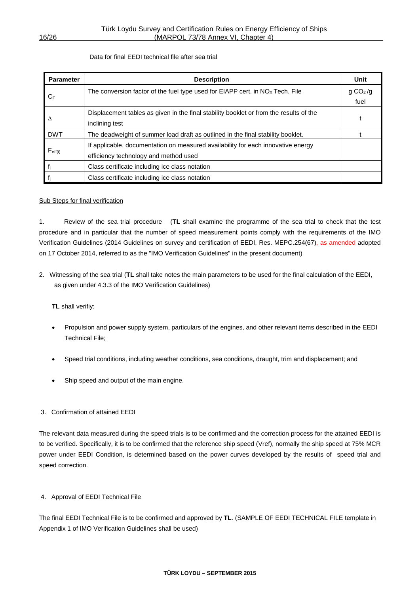#### Data for final EEDI technical file after sea trial

| <b>Parameter</b>    | <b>Description</b>                                                                     |                      |  |  |  |  |
|---------------------|----------------------------------------------------------------------------------------|----------------------|--|--|--|--|
|                     | The conversion factor of the fuel type used for EIAPP cert. in $NOx$ Tech. File        | g CO <sub>2</sub> /g |  |  |  |  |
| $C_{\text{F}}$      |                                                                                        | fuel                 |  |  |  |  |
|                     | Displacement tables as given in the final stability booklet or from the results of the |                      |  |  |  |  |
| Δ                   | inclining test                                                                         |                      |  |  |  |  |
| <b>DWT</b>          | The deadweight of summer load draft as outlined in the final stability booklet.        |                      |  |  |  |  |
|                     | If applicable, documentation on measured availability for each innovative energy       |                      |  |  |  |  |
| $F_{\text{eff}(i)}$ | efficiency technology and method used                                                  |                      |  |  |  |  |
| f                   | Class certificate including ice class notation                                         |                      |  |  |  |  |
|                     | Class certificate including ice class notation                                         |                      |  |  |  |  |

#### Sub Steps for final verification

1. Review of the sea trial procedure (**TL** shall examine the programme of the sea trial to check that the test procedure and in particular that the number of speed measurement points comply with the requirements of the IMO Verification Guidelines (2014 Guidelines on survey and certification of EEDI, Res. MEPC.254(67), as amended adopted on 17 October 2014, referred to as the "IMO Verification Guidelines" in the present document)

2. Witnessing of the sea trial (**TL** shall take notes the main parameters to be used for the final calculation of the EEDI, as given under 4.3.3 of the IMO Verification Guidelines)

**TL** shall verifiy:

- Propulsion and power supply system, particulars of the engines, and other relevant items described in the EEDI Technical File;
- Speed trial conditions, including weather conditions, sea conditions, draught, trim and displacement; and
- Ship speed and output of the main engine.

#### 3. Confirmation of attained EEDI

The relevant data measured during the speed trials is to be confirmed and the correction process for the attained EEDI is to be verified. Specifically, it is to be confirmed that the reference ship speed (Vref), normally the ship speed at 75% MCR power under EEDI Condition, is determined based on the power curves developed by the results of speed trial and speed correction.

#### 4. Approval of EEDI Technical File

The final EEDI Technical File is to be confirmed and approved by **TL**. (SAMPLE OF EEDI TECHNICAL FILE template in Appendix 1 of IMO Verification Guidelines shall be used)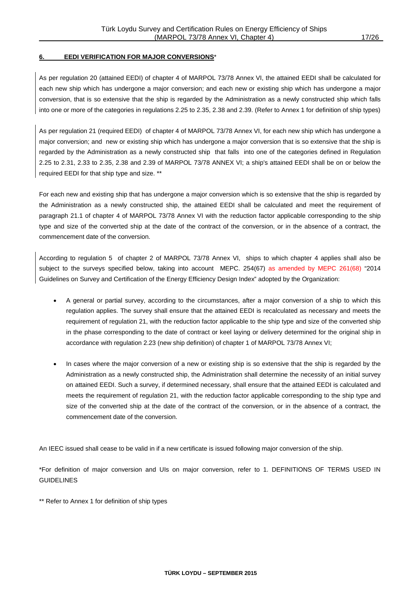#### **6. EEDI VERIFICATION FOR MAJOR CONVERSIONS**\*

As per regulation 20 (attained EEDI) of chapter 4 of MARPOL 73/78 Annex VI, the attained EEDI shall be calculated for each new ship which has undergone a major conversion; and each new or existing ship which has undergone a major conversion, that is so extensive that the ship is regarded by the Administration as a newly constructed ship which falls into one or more of the categories in regulations 2.25 to 2.35, 2.38 and 2.39. (Refer to Annex 1 for definition of ship types)

As per regulation 21 (required EEDI) of chapter 4 of MARPOL 73/78 Annex VI, for each new ship which has undergone a major conversion; and new or existing ship which has undergone a major conversion that is so extensive that the ship is regarded by the Administration as a newly constructed ship that falls into one of the categories defined in Regulation 2.25 to 2.31, 2.33 to 2.35, 2.38 and 2.39 of MARPOL 73/78 ANNEX VI; a ship's attained EEDI shall be on or below the required EEDI for that ship type and size. \*\*

For each new and existing ship that has undergone a major conversion which is so extensive that the ship is regarded by the Administration as a newly constructed ship, the attained EEDI shall be calculated and meet the requirement of paragraph 21.1 of chapter 4 of MARPOL 73/78 Annex VI with the reduction factor applicable corresponding to the ship type and size of the converted ship at the date of the contract of the conversion, or in the absence of a contract, the commencement date of the conversion.

According to regulation 5 of chapter 2 of MARPOL 73/78 Annex VI, ships to which chapter 4 applies shall also be subject to the surveys specified below, taking into account MEPC. 254(67) as amended by MEPC 261(68) "2014 Guidelines on Survey and Certification of the Energy Efficiency Design Index" adopted by the Organization:

- A general or partial survey, according to the circumstances, after a major conversion of a ship to which this regulation applies. The survey shall ensure that the attained EEDI is recalculated as necessary and meets the requirement of regulation 21, with the reduction factor applicable to the ship type and size of the converted ship in the phase corresponding to the date of contract or keel laying or delivery determined for the original ship in accordance with regulation 2.23 (new ship definition) of chapter 1 of MARPOL 73/78 Annex VI;
- In cases where the major conversion of a new or existing ship is so extensive that the ship is regarded by the Administration as a newly constructed ship, the Administration shall determine the necessity of an initial survey on attained EEDI. Such a survey, if determined necessary, shall ensure that the attained EEDI is calculated and meets the requirement of regulation 21, with the reduction factor applicable corresponding to the ship type and size of the converted ship at the date of the contract of the conversion, or in the absence of a contract, the commencement date of the conversion.

An IEEC issued shall cease to be valid in if a new certificate is issued following major conversion of the ship.

\*For definition of major conversion and UIs on major conversion, refer to 1. DEFINITIONS OF TERMS USED IN **GUIDELINES** 

\*\* Refer to Annex 1 for definition of ship types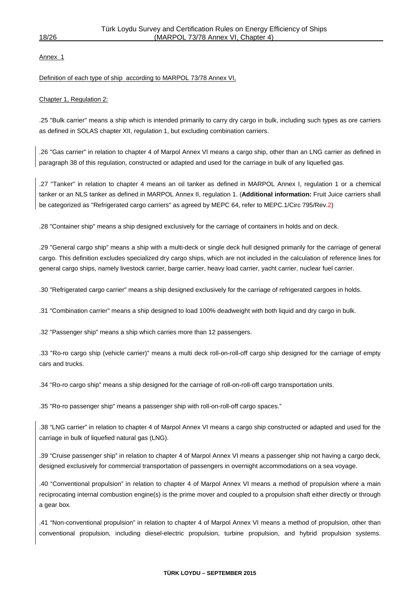Annex 1

#### Definition of each type of ship according to MARPOL 73/78 Annex VI,

#### Chapter 1, Regulation 2:

.25 "Bulk carrier" means a ship which is intended primarily to carry dry cargo in bulk, including such types as ore carriers as defined in SOLAS chapter XII, regulation 1, but excluding combination carriers.

.26 "Gas carrier" in relation to chapter 4 of Marpol Annex VI means a cargo ship, other than an LNG carrier as defined in paragraph 38 of this regulation, constructed or adapted and used for the carriage in bulk of any liquefied gas.

.27 "Tanker" in relation to chapter 4 means an oil tanker as defined in MARPOL Annex I, regulation 1 or a chemical tanker or an NLS tanker as defined in MARPOL Annex II, regulation 1. (**Additional information:** Fruit Juice carriers shall be categorized as "Refrigerated cargo carriers" as agreed by MEPC 64, refer to MEPC.1/Circ 795/Rev.2)

.28 "Container ship" means a ship designed exclusively for the carriage of containers in holds and on deck.

.29 "General cargo ship" means a ship with a multi-deck or single deck hull designed primarily for the carriage of general cargo. This definition excludes specialized dry cargo ships, which are not included in the calculation of reference lines for general cargo ships, namely livestock carrier, barge carrier, heavy load carrier, yacht carrier, nuclear fuel carrier.

.30 "Refrigerated cargo carrier" means a ship designed exclusively for the carriage of refrigerated cargoes in holds.

.31 "Combination carrier" means a ship designed to load 100% deadweight with both liquid and dry cargo in bulk.

.32 "Passenger ship" means a ship which carries more than 12 passengers.

.33 "Ro-ro cargo ship (vehicle carrier)" means a multi deck roll-on-roll-off cargo ship designed for the carriage of empty cars and trucks.

.34 "Ro-ro cargo ship" means a ship designed for the carriage of roll-on-roll-off cargo transportation units.

.35 "Ro-ro passenger ship" means a passenger ship with roll-on-roll-off cargo spaces."

.38 "LNG carrier" in relation to chapter 4 of Marpol Annex VI means a cargo ship constructed or adapted and used for the carriage in bulk of liquefied natural gas (LNG).

.39 "Cruise passenger ship" in relation to chapter 4 of Marpol Annex VI means a passenger ship not having a cargo deck, designed exclusively for commercial transportation of passengers in overnight accommodations on a sea voyage.

.40 "Conventional propulsion" in relation to chapter 4 of Marpol Annex VI means a method of propulsion where a main reciprocating internal combustion engine(s) is the prime mover and coupled to a propulsion shaft either directly or through a gear box.

.41 "Non-conventional propulsion" in relation to chapter 4 of Marpol Annex VI means a method of propulsion, other than conventional propulsion, including diesel-electric propulsion, turbine propulsion, and hybrid propulsion systems.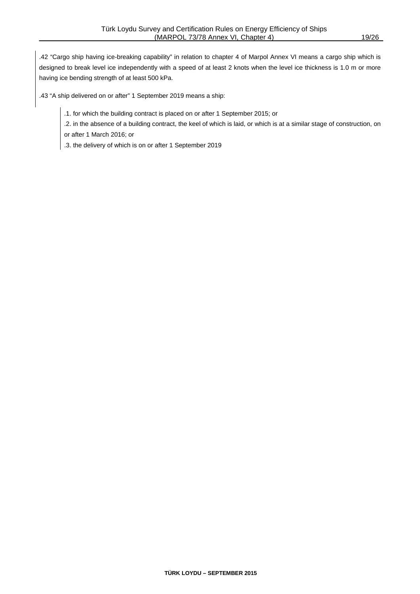.42 "Cargo ship having ice-breaking capability" in relation to chapter 4 of Marpol Annex VI means a cargo ship which is designed to break level ice independently with a speed of at least 2 knots when the level ice thickness is 1.0 m or more having ice bending strength of at least 500 kPa.

.43 "A ship delivered on or after" 1 September 2019 means a ship:

.1. for which the building contract is placed on or after 1 September 2015; or

.2. in the absence of a building contract, the keel of which is laid, or which is at a similar stage of construction, on or after 1 March 2016; or

.3. the delivery of which is on or after 1 September 2019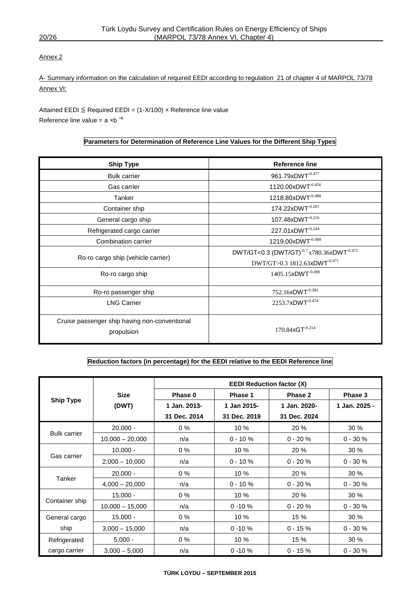#### Annex 2

A- Summary information on the calculation of required EEDI according to regulation 21 of chapter 4 of MARPOL 73/78 Annex VI:

Attained EEDI  $\leq$  Required EEDI = (1-X/100) x Reference line value Reference line value = a ×b **–c**

#### **Parameters for Determination of Reference Line Values for the Different Ship Types**

| <b>Ship Type</b>                                            | <b>Reference line</b>                                             |
|-------------------------------------------------------------|-------------------------------------------------------------------|
| <b>Bulk carrier</b>                                         | 961.79xDWT-0.477                                                  |
| Gas carrier                                                 | 1120.00xDWT-0.456                                                 |
| Tanker                                                      | 1218.80xDWT-0.488                                                 |
| Container ship                                              | 174.22xDWT-0.201                                                  |
| General cargo ship                                          | 107.48xDWT-0.216                                                  |
| Refrigerated cargo carrier                                  | 227.01xDWT-0.244                                                  |
| Combination carrier                                         | 1219.00xDWT-0.488                                                 |
|                                                             | DWT/GT<0.3 (DWT/GT) <sup>-0.7</sup> x780.36xDWT <sup>-0.471</sup> |
| Ro-ro cargo ship (vehicle carrier)                          | DWT/GT>0.3 1812.63xDWT-0.471                                      |
| Ro-ro cargo ship                                            | 1405.15xDWT <sup>-0.498</sup>                                     |
| Ro-ro passenger ship                                        | 752.16xDWT-0.381                                                  |
| <b>LNG Carrier</b>                                          | 2253.7xDWT-0.474                                                  |
| Cruise passenger ship having non-conventional<br>propulsion | 170.84xGT-0.214                                                   |

#### **Reduction factors (in percentage) for the EEDI relative to the EEDI Reference line**

|                     |                   | <b>EEDI Reduction factor (X)</b> |              |              |               |  |  |
|---------------------|-------------------|----------------------------------|--------------|--------------|---------------|--|--|
|                     | <b>Size</b>       | Phase 0                          | Phase 1      | Phase 2      | Phase 3       |  |  |
| <b>Ship Type</b>    | (DWT)             | 1 Jan. 2013-                     | 1 Jan 2015-  | 1 Jan. 2020- | 1 Jan. 2025 - |  |  |
|                     |                   | 31 Dec. 2014                     | 31 Dec. 2019 | 31 Dec. 2024 |               |  |  |
|                     | $20,000 -$        | $0\%$                            | 10 %         | 20 %         | 30%           |  |  |
| <b>Bulk carrier</b> | $10,000 - 20,000$ | n/a                              | $0 - 10 \%$  | $0 - 20 \%$  | $0 - 30 \%$   |  |  |
| Gas carrier         | $10,000 -$        | $0\%$                            | 10%          | 20 %         | 30%           |  |  |
|                     | $2,000 - 10,000$  | n/a                              | $0 - 10 \%$  | $0 - 20 \%$  | $0 - 30 \%$   |  |  |
|                     | $20,000 -$        | $0\%$                            | 10 %         | 20 %         | 30 %          |  |  |
| Tanker              | $4,000 - 20,000$  | n/a                              | $0 - 10 \%$  | $0 - 20 \%$  | $0 - 30 %$    |  |  |
|                     | $15,000 -$        | $0\%$                            | 10 %         | 20 %         | 30%           |  |  |
| Container ship      | $10,000 - 15,000$ | n/a                              | $0 - 10 \%$  | $0 - 20 \%$  | $0 - 30 %$    |  |  |
| General cargo       | $15,000 -$        | $0\%$                            | 10%          | 15 %         | 30%           |  |  |
| ship                | $3,000 - 15,000$  | n/a                              | $0 - 10 \%$  | $0 - 15 \%$  | $0 - 30 \%$   |  |  |
| Refrigerated        | $5,000 -$         | $0\%$                            | 10 %         | 15 %         | 30%           |  |  |
| cargo carrier       | $3,000 - 5,000$   | n/a                              | $0 - 10 \%$  | $0 - 15 \%$  | $0 - 30 \%$   |  |  |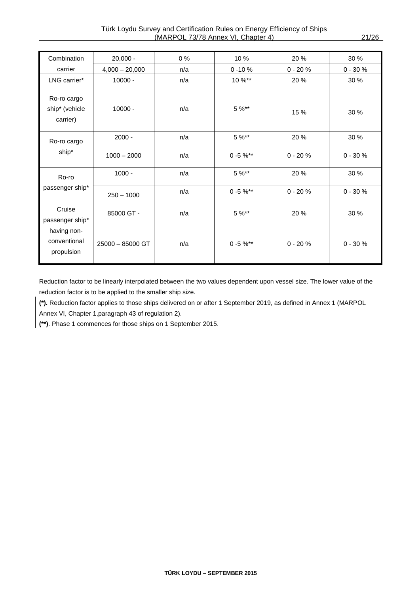| Combination                                                            | $20,000 -$       | $0\%$ | 10 %          | 20 %        | 30 %        |
|------------------------------------------------------------------------|------------------|-------|---------------|-------------|-------------|
| carrier                                                                | $4,000 - 20,000$ | n/a   | $0 - 10 \%$   | $0 - 20%$   | $0 - 30 %$  |
| LNG carrier*                                                           | $10000 -$        | n/a   | 10 %**        | 20 %        | 30 %        |
| Ro-ro cargo<br>ship* (vehicle<br>carrier)                              | $10000 -$        | n/a   | $5 \%$ **     | 15 %        | 30 %        |
| Ro-ro cargo                                                            | $2000 -$         | n/a   | $5 \%$ **     | 20 %        | 30 %        |
| ship*                                                                  | $1000 - 2000$    | n/a   | $0 - 5 \%$ ** | $0 - 20%$   | $0 - 30 \%$ |
| Ro-ro                                                                  | $1000 -$         | n/a   | $5 \%$ **     | 20 %        | 30 %        |
| passenger ship*                                                        | $250 - 1000$     | n/a   | $0 - 5 \%$ ** | $0 - 20%$   | $0 - 30 %$  |
| Cruise<br>passenger ship*<br>having non-<br>conventional<br>propulsion | 85000 GT -       | n/a   | $5 \%$ **     | 20 %        | 30 %        |
|                                                                        | 25000 - 85000 GT | n/a   | $0 - 5 \%$ ** | $0 - 20 \%$ | $0 - 30 %$  |

Reduction factor to be linearly interpolated between the two values dependent upon vessel size. The lower value of the reduction factor is to be applied to the smaller ship size.

**(\*).** Reduction factor applies to those ships delivered on or after 1 September 2019, as defined in Annex 1 (MARPOL Annex VI, Chapter 1,paragraph 43 of regulation 2).

**(\*\*)**. Phase 1 commences for those ships on 1 September 2015.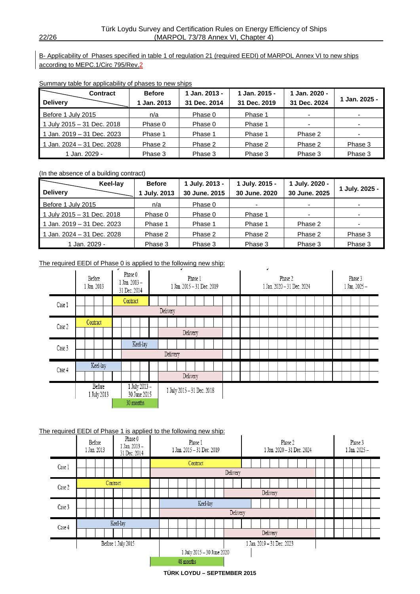B- Applicability of Phases specified in table 1 of regulation 21 (required EEDI) of MARPOL Annex VI to new ships according to MEPC.1/Circ 795/Rev.2

|  |  | Summary table for applicability of phases to new ships |  |
|--|--|--------------------------------------------------------|--|
|  |  |                                                        |  |

| <b>Contract</b><br><b>Delivery</b> | <b>Before</b><br>Jan. 2013 | 1 Jan. 2013 -<br>31 Dec. 2014 | 1 Jan. 2015 -<br>31 Dec. 2019 | 1 Jan. 2020 -<br>31 Dec. 2024 | 1 Jan. 2025 -            |
|------------------------------------|----------------------------|-------------------------------|-------------------------------|-------------------------------|--------------------------|
| Before 1 July 2015                 | n/a                        | Phase 0                       | Phase 1                       | $\overline{\phantom{a}}$      |                          |
| 1 July 2015 - 31 Dec. 2018         | Phase 0                    | Phase 0                       | Phase 1                       | $\overline{\phantom{a}}$      | $\overline{\phantom{a}}$ |
| 1 Jan. 2019 - 31 Dec. 2023         | Phase 1                    | Phase 1                       | Phase 1                       | Phase 2                       |                          |
| 1 Jan. 2024 - 31 Dec. 2028         | Phase 2                    | Phase 2                       | Phase 2                       | Phase 2                       | Phase 3                  |
| 1 Jan. 2029 -                      | Phase 3                    | Phase 3                       | Phase 3                       | Phase 3                       | Phase 3                  |

(In the absence of a building contract)

|                            | Keel-lay | <b>Before</b>     | 1 July. 2013 - | 1 July. 2015 - | 1 July. 2020 -           |                |
|----------------------------|----------|-------------------|----------------|----------------|--------------------------|----------------|
| <b>Delivery</b>            |          | <b>July. 2013</b> | 30 June, 2015  | 30 June, 2020  | 30 June. 2025            | 1 July. 2025 - |
| Before 1 July 2015         |          | n/a               | Phase 0        |                | -                        |                |
| 1 July 2015 - 31 Dec. 2018 |          | Phase 0           | Phase 0        | Phase 1        | $\overline{\phantom{0}}$ |                |
| 1 Jan. 2019 – 31 Dec. 2023 |          | Phase 1           | Phase 1        | Phase 1        | Phase 2                  |                |
| 1 Jan. 2024 - 31 Dec. 2028 |          | Phase 2           | Phase 2        | Phase 2        | Phase 2                  | Phase 3        |
| 1 Jan. 2029 -              |          | Phase 3           | Phase 3        | Phase 3        | Phase 3                  | Phase 3        |

The required EEDI of Phase 0 is applied to the following new ship:



#### The required EEDI of Phase 1 is applied to the following new ship:

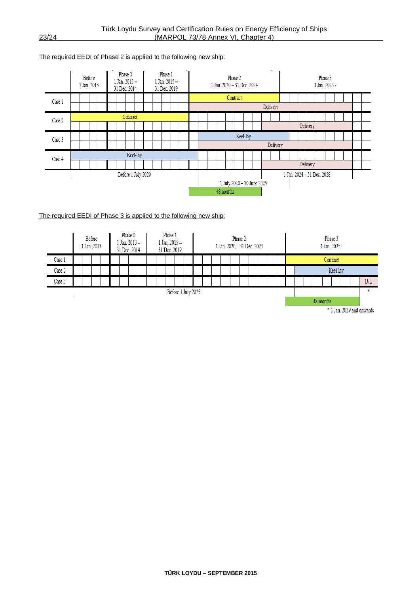#### The required EEDI of Phase 2 is applied to the following new ship:



#### The required EEDI of Phase 3 is applied to the following new ship:



<sup>\* 1</sup> Jan. 2029 and onwards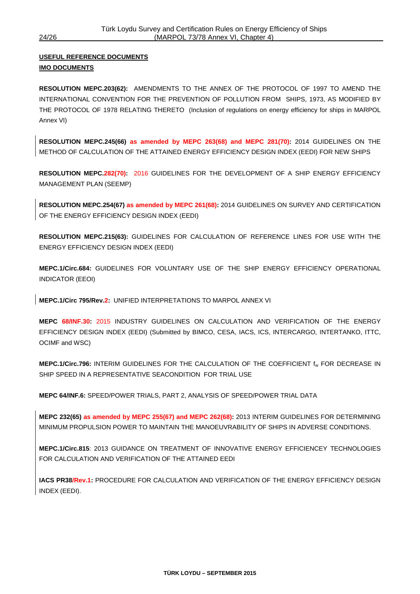#### **USEFUL REFERENCE DOCUMENTS IMO DOCUMENTS**

**RESOLUTION MEPC.203(62):** AMENDMENTS TO THE ANNEX OF THE PROTOCOL OF 1997 TO AMEND THE INTERNATIONAL CONVENTION FOR THE PREVENTION OF POLLUTION FROM SHIPS, 1973, AS MODIFIED BY THE PROTOCOL OF 1978 RELATING THERETO (Inclusion of regulations on energy efficiency for ships in MARPOL Annex VI)

**RESOLUTION MEPC.245(66) as amended by MEPC 263(68) and MEPC 281(70):** 2014 GUIDELINES ON THE METHOD OF CALCULATION OF THE ATTAINED ENERGY EFFICIENCY DESIGN INDEX (EEDI) FOR NEW SHIPS

**RESOLUTION MEPC.282(70):** 2016 GUIDELINES FOR THE DEVELOPMENT OF A SHIP ENERGY EFFICIENCY MANAGEMENT PLAN (SEEMP)

**RESOLUTION MEPC.254(67) as amended by MEPC 261(68):** 2014 GUIDELINES ON SURVEY AND CERTIFICATION OF THE ENERGY EFFICIENCY DESIGN INDEX (EEDI)

**RESOLUTION MEPC.215(63):** GUIDELINES FOR CALCULATION OF REFERENCE LINES FOR USE WITH THE ENERGY EFFICIENCY DESIGN INDEX (EEDI)

**MEPC.1/Circ.684:** GUIDELINES FOR VOLUNTARY USE OF THE SHIP ENERGY EFFICIENCY OPERATIONAL INDICATOR (EEOI)

**MEPC.1/Circ 795/Rev.2:** UNIFIED INTERPRETATIONS TO MARPOL ANNEX VI

**MEPC 68/INF.30:** 2015 INDUSTRY GUIDELINES ON CALCULATION AND VERIFICATION OF THE ENERGY EFFICIENCY DESIGN INDEX (EEDI) (Submitted by BIMCO, CESA, IACS, ICS, INTERCARGO, INTERTANKO, ITTC, OCIMF and WSC)

**MEPC.1/Circ.796:** INTERIM GUIDELINES FOR THE CALCULATION OF THE COEFFICIENT fw FOR DECREASE IN SHIP SPEED IN A REPRESENTATIVE SEACONDITION FOR TRIAL USE

**MEPC 64/INF.6:** SPEED/POWER TRIALS, PART 2, ANALYSIS OF SPEED/POWER TRIAL DATA

**MEPC 232(65) as amended by MEPC 255(67) and MEPC 262(68):** 2013 INTERIM GUIDELINES FOR DETERMINING MINIMUM PROPULSION POWER TO MAINTAIN THE MANOEUVRABILITY OF SHIPS IN ADVERSE CONDITIONS.

**MEPC.1/Circ.815**: 2013 GUIDANCE ON TREATMENT OF INNOVATIVE ENERGY EFFICIENCEY TECHNOLOGIES FOR CALCULATION AND VERIFICATION OF THE ATTAINED EEDI

**IACS PR38/Rev.1:** PROCEDURE FOR CALCULATION AND VERIFICATION OF THE ENERGY EFFICIENCY DESIGN INDEX (EEDI).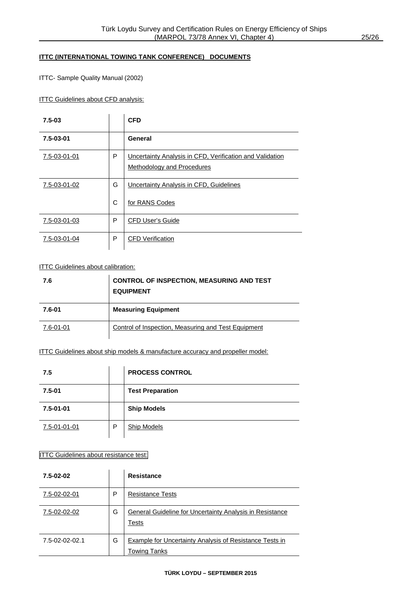#### **ITTC (INTERNATIONAL TOWING TANK CONFERENCE) DOCUMENTS**

ITTC- Sample Quality Manual (2002)

**ITTC Guidelines about CFD analysis:** 

| $7.5 - 03$   |   | <b>CFD</b>                                                                             |
|--------------|---|----------------------------------------------------------------------------------------|
| 7.5-03-01    |   | General                                                                                |
| 7.5-03-01-01 | P | Uncertainty Analysis in CFD, Verification and Validation<br>Methodology and Procedures |
| 7.5-03-01-02 | G | Uncertainty Analysis in CFD, Guidelines                                                |
|              | C | for RANS Codes                                                                         |
| 7.5-03-01-03 | P | <b>CFD User's Guide</b>                                                                |
| 7.5-03-01-04 | P | <b>CFD</b> Verification                                                                |

#### **ITTC Guidelines about calibration:**

| 7.6       | <b>CONTROL OF INSPECTION, MEASURING AND TEST</b><br><b>EQUIPMENT</b> |
|-----------|----------------------------------------------------------------------|
| 7.6-01    | <b>Measuring Equipment</b>                                           |
| 7.6-01-01 | Control of Inspection, Measuring and Test Equipment                  |

#### ITTC Guidelines about ship models & manufacture accuracy and propeller model:

| 7.5             |   | <b>PROCESS CONTROL</b>  |
|-----------------|---|-------------------------|
| $7.5 - 01$      |   | <b>Test Preparation</b> |
| $7.5 - 01 - 01$ |   | <b>Ship Models</b>      |
| 7.5-01-01-01    | P | <b>Ship Models</b>      |

#### ITTC Guidelines about resistance test:

| 7.5-02-02      |   | <b>Resistance</b>                                                       |
|----------------|---|-------------------------------------------------------------------------|
| 7.5-02-02-01   | Р | <b>Resistance Tests</b>                                                 |
| 7.5-02-02-02   | G | General Guideline for Uncertainty Analysis in Resistance<br>Tests       |
| 7.5-02-02-02.1 | G | Example for Uncertainty Analysis of Resistance Tests in<br>Towing Tanks |